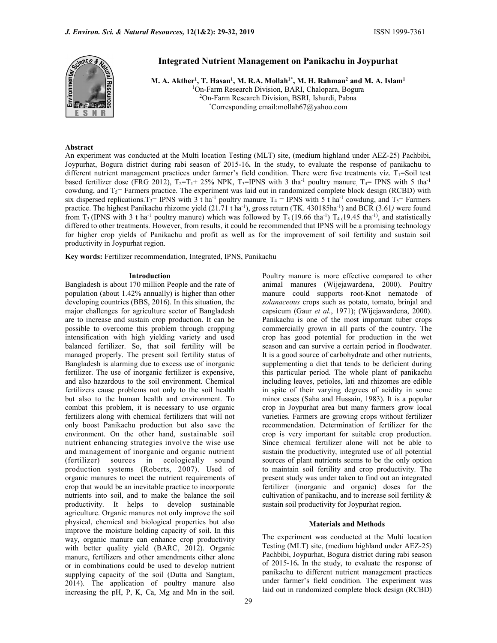# ence &

## Integrated Nutrient Management on Panikachu in Joypurhat

M. A. Akther<sup>1</sup>, T. Hasan<sup>1</sup>, M. R.A. Mollah<sup>1\*</sup>, M. H. Rahman<sup>2</sup> and M. A. Islam<sup>1</sup> 1On-Farm Research Division, BARI, Chalopara, Bogura 2On-Farm Research Division, BSRI, Ishurdi, Pabna \*Corresponding email:mollah67@yahoo.com

## Abstract

An experiment was conducted at the Multi location Testing (MLT) site, (medium highland under AEZ-25) Pachbibi, Joypurhat, Bogura district during rabi season of 2015-16. In the study, to evaluate the response of panikachu to different nutrient management practices under farmer's field condition. There were five treatments viz. T<sub>1</sub>=Soil test based fertilizer dose (FRG 2012),  $T_2=T_1+25\%$  NPK,  $T_3=IPNS$  with 3 tha<sup>-1</sup> poultry manure,  $T_4=IPNS$  with 5 tha<sup>-1</sup> cowdung, and  $T_5$ = Farmers practice. The experiment was laid out in randomized complete block design (RCBD) with six dispersed replications. T<sub>3</sub> IPNS with 3 t ha<sup>-1</sup> poultry manure, T<sub>4</sub> = IPNS with 5 t ha<sup>-1</sup> cowdung, and T<sub>5</sub> = Farmers practice. The highest Panikachu rhizome yield (21.71 t ha<sup>-1</sup>), gross return (TK. 430185ha<sup>-1</sup>) and BCR (3.61) were found from T<sub>3</sub> (IPNS with 3 t ha<sup>-1</sup> poultry manure) which was followed by T<sub>5</sub> (19.66 tha<sup>-1</sup>) T<sub>4 (</sub>19.45 tha<sup>-1)</sup>, and statistically differed to other treatments. However, from results, it could be recommended that IPNS will be a promising technology for higher crop yields of Panikachu and profit as well as for the improvement of soil fertility and sustain soil productivity in Joypurhat region.

Key words: Fertilizer recommendation, Integrated, IPNS, Panikachu

#### Introduction

Bangladesh is about 170 million People and the rate of population (about 1.42% annually) is higher than other developing countries (BBS, 2016). In this situation, the major challenges for agriculture sector of Bangladesh are to increase and sustain crop production. It can be possible to overcome this problem through cropping intensification with high yielding variety and used balanced fertilizer. So, that soil fertility will be managed properly. The present soil fertility status of Bangladesh is alarming due to excess use of inorganic fertilizer. The use of inorganic fertilizer is expensive, and also hazardous to the soil environment. Chemical fertilizers cause problems not only to the soil health but also to the human health and environment. To combat this problem, it is necessary to use organic fertilizers along with chemical fertilizers that will not only boost Panikachu production but also save the environment. On the other hand, sustainable soil nutrient enhancing strategies involve the wise use and management of inorganic and organic nutrient (fertilizer) sources in ecologically sound production systems (Roberts, 2007). Used of organic manures to meet the nutrient requirements of crop that would be an inevitable practice to incorporate nutrients into soil, and to make the balance the soil productivity. It helps to develop sustainable agriculture. Organic manures not only improve the soil physical, chemical and biological properties but also improve the moisture holding capacity of soil. In this way, organic manure can enhance crop productivity with better quality yield (BARC, 2012). Organic manure, fertilizers and other amendments either alone or in combinations could be used to develop nutrient supplying capacity of the soil (Dutta and Sangtam, 2014). The application of poultry manure also increasing the pH, P, K, Ca, Mg and Mn in the soil.

Poultry manure is more effective compared to other animal manures (Wijejawardena, 2000). Poultry manure could supports root-Knot nematode of solanaceous crops such as potato, tomato, brinjal and capsicum (Gaur et al., 1971); (Wijejawardena, 2000). Panikachu is one of the most important tuber crops commercially grown in all parts of the country. The crop has good potential for production in the wet season and can survive a certain period in floodwater. It is a good source of carbohydrate and other nutrients, supplementing a diet that tends to be deficient during this particular period. The whole plant of panikachu including leaves, petioles, lati and rhizomes are edible in spite of their varying degrees of acidity in some minor cases (Saha and Hussain, 1983). It is a popular crop in Joypurhat area but many farmers grow local varieties. Farmers are growing crops without fertilizer recommendation. Determination of fertilizer for the crop is very important for suitable crop production. Since chemical fertilizer alone will not be able to sustain the productivity, integrated use of all potential sources of plant nutrients seems to be the only option to maintain soil fertility and crop productivity. The present study was under taken to find out an integrated fertilizer (inorganic and organic) doses for the cultivation of panikachu, and to increase soil fertility & sustain soil productivity for Joypurhat region.

#### Materials and Methods

The experiment was conducted at the Multi location Testing (MLT) site, (medium highland under AEZ-25) Pachbibi, Joypurhat, Bogura district during rabi season of 2015-16. In the study, to evaluate the response of panikachu to different nutrient management practices under farmer's field condition. The experiment was laid out in randomized complete block design (RCBD)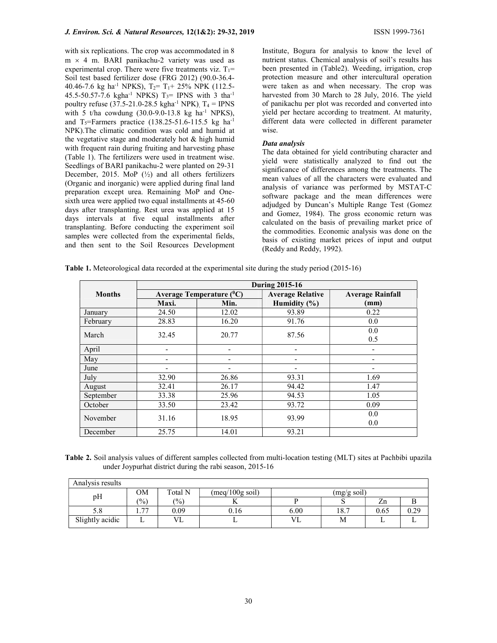with six replications. The crop was accommodated in 8  $m \times 4$  m. BARI panikachu-2 variety was used as experimental crop. There were five treatments viz.  $T_1$ = Soil test based fertilizer dose (FRG 2012) (90.0-36.4- 40.46-7.6 kg ha<sup>-1</sup> NPKS), T<sub>2</sub>= T<sub>1</sub>+ 25% NPK (112.5-45.5-50.57-7.6 kgha<sup>-1</sup> NPKS)  $T_3$ = IPNS with 3 tha<sup>-1</sup> poultry refuse (37.5-21.0-28.5 kgha<sup>-1</sup> NPK),  $T_4 = IPNS$ with 5 t/ha cowdung  $(30.0 - 9.0 - 13.8 \text{ kg/ha}^{-1} \text{ NPKS})$ , and T<sub>5</sub>=Farmers practice (138.25-51.6-115.5 kg ha<sup>-1</sup> NPK).The climatic condition was cold and humid at the vegetative stage and moderately hot & high humid with frequent rain during fruiting and harvesting phase (Table 1). The fertilizers were used in treatment wise. Seedlings of BARI panikachu-2 were planted on 29-31 December, 2015. MoP (½) and all others fertilizers (Organic and inorganic) were applied during final land preparation except urea. Remaining MoP and Onesixth urea were applied two equal installments at 45-60 days after transplanting. Rest urea was applied at 15 days intervals at five equal installments after transplanting. Before conducting the experiment soil samples were collected from the experimental fields, and then sent to the Soil Resources Development

Institute, Bogura for analysis to know the level of nutrient status. Chemical analysis of soil's results has been presented in (Table2). Weeding, irrigation, crop protection measure and other intercultural operation were taken as and when necessary. The crop was harvested from 30 March to 28 July, 2016. The yield of panikachu per plot was recorded and converted into yield per hectare according to treatment. At maturity, different data were collected in different parameter wise.

## Data analysis

The data obtained for yield contributing character and yield were statistically analyzed to find out the significance of differences among the treatments. The mean values of all the characters were evaluated and analysis of variance was performed by MSTAT-C software package and the mean differences were adjudged by Duncan's Multiple Range Test (Gomez and Gomez, 1984). The gross economic return was calculated on the basis of prevailing market price of the commodities. Economic analysis was done on the basis of existing market prices of input and output (Reddy and Reddy, 1992).

|  | Table 1. Meteorological data recorded at the experimental site during the study period (2015-16) |  |  |
|--|--------------------------------------------------------------------------------------------------|--|--|
|  |                                                                                                  |  |  |

|               |                             | <b>During 2015-16</b>        |                          |                          |  |  |  |  |
|---------------|-----------------------------|------------------------------|--------------------------|--------------------------|--|--|--|--|
| <b>Months</b> | Average Temperature $(^0C)$ |                              | <b>Average Relative</b>  | <b>Average Rainfall</b>  |  |  |  |  |
|               | Maxi.                       | Min.                         | Humidity $(\% )$         | (mm)                     |  |  |  |  |
| January       | 24.50                       | 12.02                        | 93.89                    | 0.22                     |  |  |  |  |
| February      | 28.83                       | 16.20                        | 91.76                    | 0.0                      |  |  |  |  |
| March         | 32.45                       |                              | 87.56                    | 0.0                      |  |  |  |  |
|               |                             | 20.77                        |                          | 0.5                      |  |  |  |  |
| April         |                             |                              |                          |                          |  |  |  |  |
| May           | ۰                           |                              |                          |                          |  |  |  |  |
| June          | -                           | $\qquad \qquad \blacksquare$ | $\overline{\phantom{a}}$ | $\overline{\phantom{a}}$ |  |  |  |  |
| July          | 32.90                       | 26.86                        | 93.31                    | 1.69                     |  |  |  |  |
| August        | 32.41                       | 26.17                        | 94.42                    | 1.47                     |  |  |  |  |
| September     | 33.38                       | 25.96                        | 94.53                    | 1.05                     |  |  |  |  |
| October       | 33.50                       | 23.42                        | 93.72                    | 0.09                     |  |  |  |  |
| November      | 31.16                       | 18.95                        | 93.99                    | 0.0                      |  |  |  |  |
|               |                             |                              |                          | 0.0                      |  |  |  |  |
| December      | 25.75                       | 14.01                        | 93.21                    |                          |  |  |  |  |

Table 2. Soil analysis values of different samples collected from multi-location testing (MLT) sites at Pachbibi upazila under Joypurhat district during the rabi season, 2015-16

| Analysis results |                                            |         |                 |      |             |      |      |
|------------------|--------------------------------------------|---------|-----------------|------|-------------|------|------|
| pH               | OМ                                         | Total N | (meq/100g soil) |      | (mg/g soil) |      |      |
|                  | $\frac{1}{2}$                              | (%)     |                 |      |             | Zn   |      |
| 5.8              | $\overline{\phantom{a}}$<br>$\mathbf{1}$ . | 0.09    | 0.16            | 6.00 | 18.7        | 0.65 | 0.29 |
| Slightly acidic  |                                            | vі      |                 |      | М           |      |      |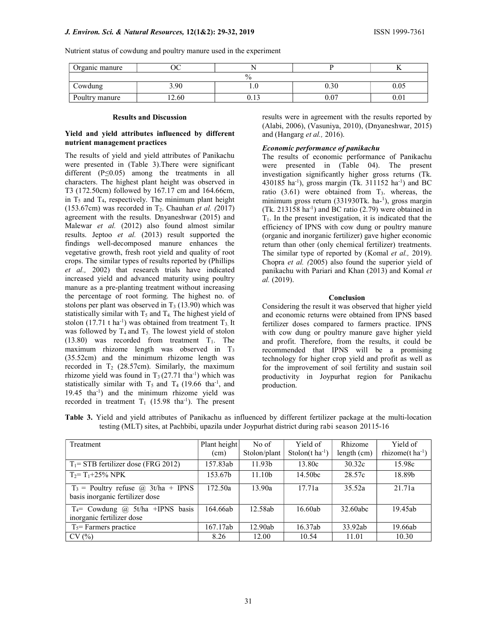Nutrient status of cowdung and poultry manure used in the experiment

| Organic manure | ◡     |        |      |      |  |
|----------------|-------|--------|------|------|--|
| 0/6            |       |        |      |      |  |
| Cowdung        | 3.90  | 1.V    | 0.30 | 0.05 |  |
| Poultry manure | 12.60 | v. 1 J | 0.07 | 0.01 |  |

#### Results and Discussion

## Yield and yield attributes influenced by different nutrient management practices

The results of yield and yield attributes of Panikachu were presented in (Table 3).There were significant different (P≤0.05) among the treatments in all characters. The highest plant height was observed in T3 (172.50cm) followed by 167.17 cm and 164.66cm, in  $T_5$  and  $T_4$ , respectively. The minimum plant height (153.67cm) was recorded in  $T_2$ . Chauhan *et al.* (2017) agreement with the results. Dnyaneshwar (2015) and Malewar et al. (2012) also found almost similar results. Jeptoo et al. (2013) result supported the findings well-decomposed manure enhances the vegetative growth, fresh root yield and quality of root crops. The similar types of results reported by (Phillips et al., 2002) that research trials have indicated increased yield and advanced maturity using poultry manure as a pre-planting treatment without increasing the percentage of root forming. The highest no. of stolons per plant was observed in  $T_3$  (13.90) which was statistically similar with  $T_5$  and  $T_4$ . The highest yield of stolon (17.71 t ha<sup>-1</sup>) was obtained from treatment  $T_3$  It was followed by  $T_4$  and  $T_5$ . The lowest yield of stolon  $(13.80)$  was recorded from treatment  $T_1$ . The maximum rhizome length was observed in T<sup>3</sup> (35.52cm) and the minimum rhizome length was recorded in  $T_2$  (28.57cm). Similarly, the maximum rhizome yield was found in  $T_3$  (27.71 tha<sup>-1</sup>) which was statistically similar with  $T_5$  and  $T_4$  (19.66 tha<sup>-1</sup>, and 19.45 tha-1) and the minimum rhizome yield was recorded in treatment  $T_1$  (15.98 tha<sup>-1</sup>). The present

results were in agreement with the results reported by (Alabi, 2006), (Vasuniya, 2010), (Dnyaneshwar, 2015) and (Hangarg et al., 2016).

## Economic performance of panikachu

The results of economic performance of Panikachu were presented in (Table 04). The present investigation significantly higher gross returns (Tk. 430185 ha-1), gross margin (Tk. 311152 ha-1) and BC ratio  $(3.61)$  were obtained from  $T_3$ . whereas, the minimum gross return (331930Tk. ha-<sup>1</sup>), gross margin  $(Tk. 213158 \text{ ha}^{-1})$  and BC ratio  $(2.79)$  were obtained in  $T<sub>1</sub>$ . In the present investigation, it is indicated that the efficiency of IPNS with cow dung or poultry manure (organic and inorganic fertilizer) gave higher economic return than other (only chemical fertilizer) treatments. The similar type of reported by (Komal et al., 2019). Chopra et al. (2005) also found the superior yield of panikachu with Pariari and Khan (2013) and Komal et al. (2019).

#### Conclusion

Considering the result it was observed that higher yield and economic returns were obtained from IPNS based fertilizer doses compared to farmers practice. IPNS with cow dung or poultry manure gave higher yield and profit. Therefore, from the results, it could be recommended that IPNS will be a promising technology for higher crop yield and profit as well as for the improvement of soil fertility and sustain soil productivity in Joypurhat region for Panikachu production.

|  | Table 3. Yield and yield attributes of Panikachu as influenced by different fertilizer package at the multi-location |  |  |  |
|--|----------------------------------------------------------------------------------------------------------------------|--|--|--|
|  | testing (MLT) sites, at Pachbibi, upazila under Joypurhat district during rabi season 20115-16                       |  |  |  |

| Treatment                                                                       | Plant height | No of        | Yield of                     | Rhizome     | Yield of                      |
|---------------------------------------------------------------------------------|--------------|--------------|------------------------------|-------------|-------------------------------|
|                                                                                 | (cm)         | Stolon/plant | Stolon $(t \text{ ha}^{-1})$ | length (cm) | rhizome $(t \text{ ha}^{-1})$ |
| $T_1$ = STB fertilizer dose (FRG 2012)                                          | 157.83ab     | 11.93b       | 13.80c                       | 30.32c      | 15.98c                        |
| $T_2 = T_1 + 25\% \text{ NPK}$                                                  | 153.67b      | 11.10b       | 14.50bc                      | 28.57c      | 18.89b                        |
| $T_3$ = Poultry refuse $\omega$ 3t/ha + IPNS<br>basis inorganic fertilizer dose | 172.50a      | 13.90a       | 17.71a                       | 35.52a      | 21.71a                        |
| $T_4$ = Cowdung @ 5t/ha +IPNS basis<br>inorganic fertilizer dose                | 164.66ab     | 12.58ab      | 16.60ab                      | 32.60abc    | 19.45ab                       |
| $T5=$ Farmers practice                                                          | 167.17ab     | 12.90ab      | 16.37ab                      | 33.92ab     | 19.66ab                       |
| CV(%)                                                                           | 8.26         | 12.00        | 10.54                        | 11.01       | 10.30                         |